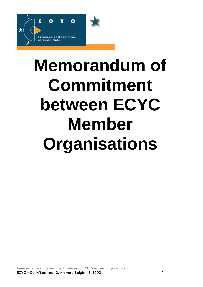

# **Memorandum of Commitment between ECYC Member Organisations**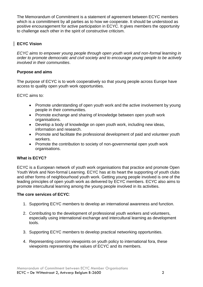The Memorandum of Commitment is a statement of agreement between ECYC members which is a committment by all parties as to how we cooperate. It should be understood as positive encouragement for active participation in ECYC. It gives members the opportunity to challenge each other in the spirit of constructive criticism.

## **ECYC Vision**

*ECYC aims to empower young people through open youth work and non-formal learning in order to promote democratic and civil society and to encourage young people to be actively involved in their communities*.

## **Purpose and aims**

The purpose of ECYC is to work cooperatively so that young people across Europe have access to quality open youth work opportunities.

ECYC aims to:

- Promote understanding of open youth work and the active involvement by young people in their communities.
- Promote exchange and sharing of knowledge between open youth work organisations.
- Develop a body of knowledge on open youth work, including new ideas, information and research.
- Promote and facilitate the professional development of paid and volunteer youth workers.
- Promote the contribution to society of non-governmental open youth work organisations.

# **What is ECYC?**

ECYC is a European network of youth work organisations that practice and promote Open Youth Work and Non-formal Learning. ECYC has at its heart the supporting of youth clubs and other forms of neighbourhood youth work. Getting young people involved is one of the leading principles of open youth work as delivered by ECYC members. ECYC also aims to promote intercultural learning among the young people involved in its activities.

#### **The core services of ECYC**:

- 1. Supporting ECYC members to develop an international awareness and function.
- 2. Contributing to the development of professional youth workers and volunteers, especially using international exchange and intercultural learning as development tools.
- 3. Supporting ECYC members to develop practical networking opportunities.
- 4. Representing common viewpoints on youth policy to international fora, these viewpoints representing the values of ECYC and its members.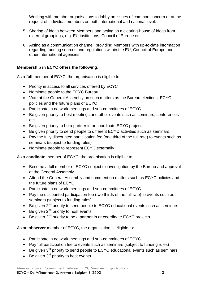Working with member organisations to lobby on issues of common concern or at the request of individual members on both international and national level.

- 5. Sharing of ideas between Members and acting as a clearing-house of ideas from external groupings, e.g. EU institutions; Council of Europe etc.
- 6. Acting as a communication channel, providing Members with up-to-date information regarding funding sources and regulations within the EU; Council of Europe and other international agencies.

## **Membership in ECYC offers the following:**

As a **full** member of ECYC, the organisation is eligible to:

- Priority in access to all services offered by ECYC
- Nominate people to the ECYC Bureau
- Vote at the General Assembly on such matters as the Bureau elections, ECYC policies and the future plans of ECYC
- Participate in network meetings and sub-committees of ECYC
- Be given priority to host meetings and other events such as seminars, conferences etc
- Be given priority to be a partner in or coordinate ECYC projects
- Be given priority to send people to different ECYC activities such as seminars
- Pay the fully discounted participation fee (one third of the full rate) to events such as seminars (subject to funding rules)
- Nominate people to represent ECYC externally

As a **candidate** member of ECYC, the organisation is eligible to:

- Become a full member of ECYC subject to investigation by the Bureau and approval at the General Assembly
- Attend the General Assembly and comment on matters such as ECYC policies and the future plans of ECYC
- Participate in network meetings and sub-committees of ECYC
- Pay the discounted participation fee (two thirds of the full rate) to events such as seminars (subject to funding rules)
- $\bullet$  Be given 2<sup>nd</sup> priority to send people to ECYC educational events such as seminars
- Be given  $2<sup>nd</sup>$  priority to host events
- Be given 2<sup>nd</sup> priority to be a partner in or coordinate ECYC projects

As an **observer** member of ECYC, the organisation is eligible to:

- Participate in network meetings and sub-committees of ECYC
- Pay full participation fee to events such as seminars (subject to funding rules)
- $\bullet$  Be given  $3^{rd}$  priority to send people to ECYC educational events such as seminars
- $\bullet$  Be given  $3<sup>rd</sup>$  priority to host events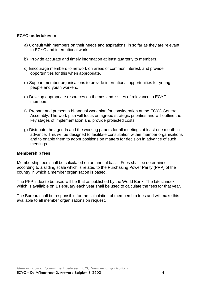#### **ECYC undertakes to**:

- a) Consult with members on their needs and aspirations, in so far as they are relevant to ECYC and international work.
- b) Provide accurate and timely information at least quarterly to members.
- c) Encourage members to network on areas of common interest, and provide opportunities for this when appropriate.
- d) Support member organisations to provide international opportunities for young people and youth workers.
- e) Develop appropriate resources on themes and issues of relevance to ECYC members.
- f) Prepare and present a bi-annual work plan for consideration at the ECYC General Assembly. The work plan will focus on agreed strategic priorities and will outline the key stages of implementation and provide projected costs.
- g) Distribute the agenda and the working papers for all meetings at least one month in advance. This will be designed to facilitate consultation within member organisations and to enable them to adopt positions on matters for decision in advance of such meetings.

#### **Membership fees**

Membership fees shall be calculated on an annual basis. Fees shall be determined according to a sliding scale which is related to the Purchasing Power Parity (PPP) of the country in which a member organisation is based.

The PPP index to be used will be that as published by the World Bank. The latest index which is available on 1 February each year shall be used to calculate the fees for that year.

The Bureau shall be responsible for the calculation of membership fees and will make this available to all member organisations on request.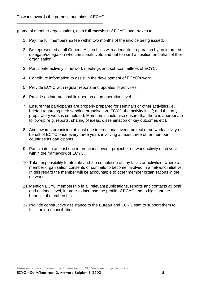(name of member organisation), as a **full member** of ECYC, undertakes to:

- 1. Pay the full membership fee within two months of the invoice being issued.
- 2. Be represented at all General Assemblies with adequate preparation by an informed delegate/delegation who can speak, vote and put forward a position on behalf of their organisation.
- 3. Participate actively in network meetings and sub-committees of ECYC.
- 4. Contribute information to assist in the development of ECYC's work.
- 5. Provide ECYC with regular reports and updates of activities.
- 6. Provide an international link person at an operation level.
- 7. Ensure that participants are properly prepared for seminars or other activities i.e. briefed regarding their sending organisation, ECYC, the activity itself; and that any preparatory work is completed. Members should also ensure that there is appropriate follow-up (e.g. reports, sharing of ideas, dissemination of key outcomes etc).
- 8. Aim towards organising at least one international event, project or network activity on behalf of ECYC once every three years involving at least three other member countries as participants.
- 9. Participate in at least one international event, project or network activity each year within the framework of ECYC.
- 10.Take responsibility for its role and the completion of any tasks or activities, where a member organisation consents or commits to become involved in a network initiative. In this regard the member will be accountable to other member organisations in the network.
- 11.Mention ECYC membership in all relevant publications, reports and contacts at local and national level, in order to increase the profile of ECYC and to highlight the benefits of membership.
- 12.Provide constructive assistance to the Bureau and ECYC staff to support them to fulfil their responsibilities.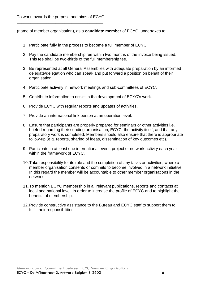(name of member organisation), as a **candidate member** of ECYC, undertakes to:

- 1. Participate fully in the process to become a full member of ECYC.
- 2. Pay the candidate membership fee within two months of the invoice being issued. This fee shall be two-thirds of the full membership fee.
- 3. Be represented at all General Assemblies with adequate preparation by an informed delegate/delegation who can speak and put forward a position on behalf of their organisation.
- 4. Participate actively in network meetings and sub-committees of ECYC.
- 5. Contribute information to assist in the development of ECYC's work.
- 6. Provide ECYC with regular reports and updates of activities.
- 7. Provide an international link person at an operation level.
- 8. Ensure that participants are properly prepared for seminars or other activities i.e. briefed regarding their sending organisation, ECYC, the activity itself; and that any preparatory work is completed. Members should also ensure that there is appropriate follow-up (e.g. reports, sharing of ideas, dissemination of key outcomes etc).
- 9. Participate in at least one international event, project or network activity each year within the framework of ECYC.
- 10.Take responsibility for its role and the completion of any tasks or activities, where a member organisation consents or commits to become involved in a network initiative. In this regard the member will be accountable to other member organisations in the network.
- 11.To mention ECYC membership in all relevant publications, reports and contacts at local and national level, in order to increase the profile of ECYC and to highlight the benefits of membership.
- 12.Provide constructive assistance to the Bureau and ECYC staff to support them to fulfil their responsibilities.